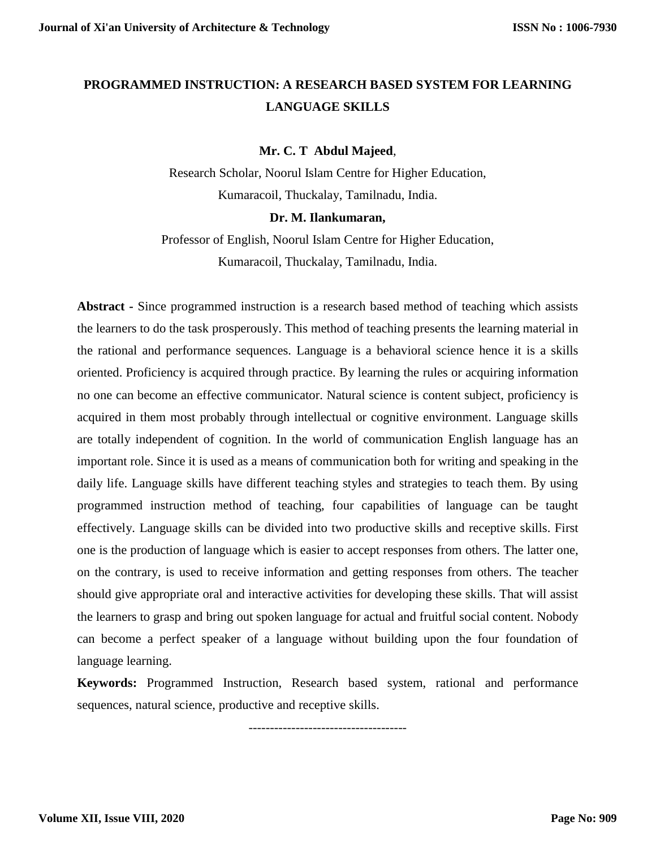# **PROGRAMMED INSTRUCTION: A RESEARCH BASED SYSTEM FOR LEARNING LANGUAGE SKILLS**

# **Mr. C. T Abdul Majeed**,

Research Scholar, Noorul Islam Centre for Higher Education, Kumaracoil, Thuckalay, Tamilnadu, India.

## **Dr. M. Ilankumaran,**

Professor of English, Noorul Islam Centre for Higher Education, Kumaracoil, Thuckalay, Tamilnadu, India.

**Abstract -** Since programmed instruction is a research based method of teaching which assists the learners to do the task prosperously. This method of teaching presents the learning material in the rational and performance sequences. Language is a behavioral science hence it is a skills oriented. Proficiency is acquired through practice. By learning the rules or acquiring information no one can become an effective communicator. Natural science is content subject, proficiency is acquired in them most probably through intellectual or cognitive environment. Language skills are totally independent of cognition. In the world of communication English language has an important role. Since it is used as a means of communication both for writing and speaking in the daily life. Language skills have different teaching styles and strategies to teach them. By using programmed instruction method of teaching, four capabilities of language can be taught effectively. Language skills can be divided into two productive skills and receptive skills. First one is the production of language which is easier to accept responses from others. The latter one, on the contrary, is used to receive information and getting responses from others. The teacher should give appropriate oral and interactive activities for developing these skills. That will assist the learners to grasp and bring out spoken language for actual and fruitful social content. Nobody can become a perfect speaker of a language without building upon the four foundation of language learning.

**Keywords:** Programmed Instruction, Research based system, rational and performance sequences, natural science, productive and receptive skills.

-------------------------------------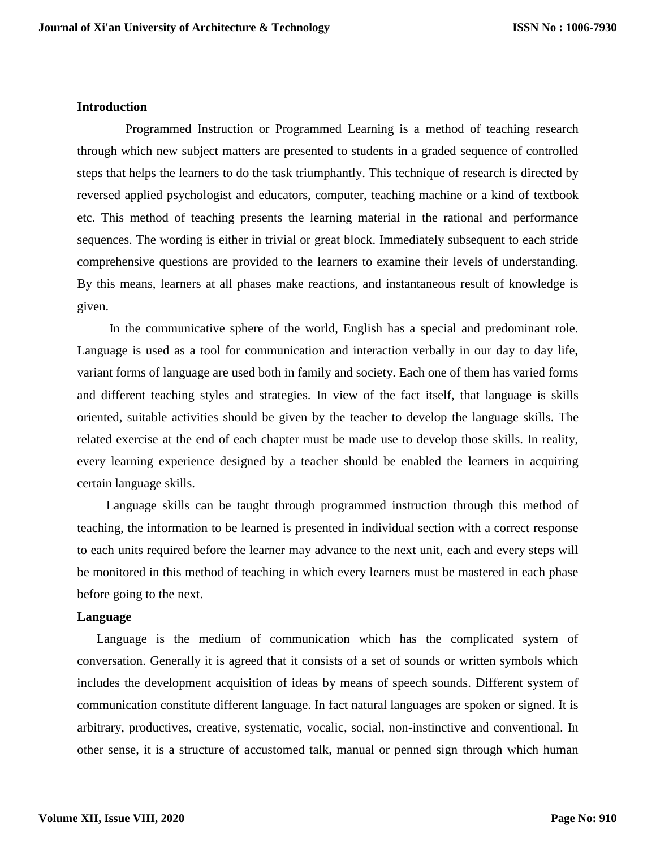#### **Introduction**

 Programmed Instruction or Programmed Learning is a method of teaching research through which new subject matters are presented to students in a graded sequence of controlled steps that helps the learners to do the task triumphantly. This technique of research is directed by reversed applied psychologist and educators, computer, teaching machine or a kind of textbook etc. This method of teaching presents the learning material in the rational and performance sequences. The wording is either in trivial or great block. Immediately subsequent to each stride comprehensive questions are provided to the learners to examine their levels of understanding. By this means, learners at all phases make reactions, and instantaneous result of knowledge is given.

 In the communicative sphere of the world, English has a special and predominant role. Language is used as a tool for communication and interaction verbally in our day to day life, variant forms of language are used both in family and society. Each one of them has varied forms and different teaching styles and strategies. In view of the fact itself, that language is skills oriented, suitable activities should be given by the teacher to develop the language skills. The related exercise at the end of each chapter must be made use to develop those skills. In reality, every learning experience designed by a teacher should be enabled the learners in acquiring certain language skills.

 Language skills can be taught through programmed instruction through this method of teaching, the information to be learned is presented in individual section with a correct response to each units required before the learner may advance to the next unit, each and every steps will be monitored in this method of teaching in which every learners must be mastered in each phase before going to the next.

#### **Language**

 Language is the medium of communication which has the complicated system of conversation. Generally it is agreed that it consists of a set of sounds or written symbols which includes the development acquisition of ideas by means of speech sounds. Different system of communication constitute different language. In fact natural languages are spoken or signed. It is arbitrary, productives, creative, systematic, vocalic, social, non-instinctive and conventional. In other sense, it is a structure of accustomed talk, manual or penned sign through which human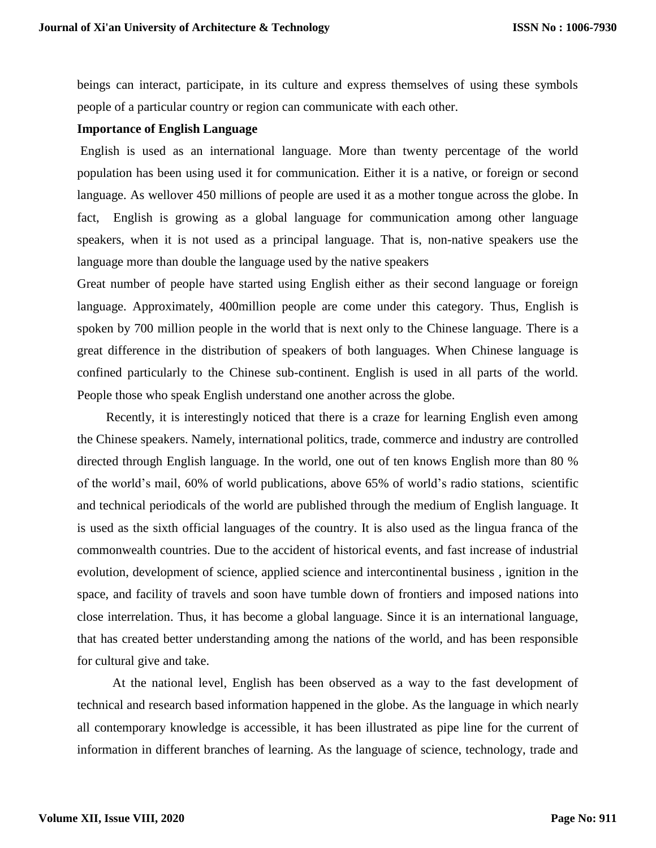beings can interact, participate, in its culture and express themselves of using these symbols people of a particular country or region can communicate with each other.

## **Importance of English Language**

English is used as an international language. More than twenty percentage of the world population has been using used it for communication. Either it is a native, or foreign or second language. As wellover 450 millions of people are used it as a mother tongue across the globe. In fact, English is growing as a global language for communication among other language speakers, when it is not used as a principal language. That is, non-native speakers use the language more than double the language used by the native speakers

Great number of people have started using English either as their second language or foreign language. Approximately, 400million people are come under this category. Thus, English is spoken by 700 million people in the world that is next only to the Chinese language. There is a great difference in the distribution of speakers of both languages. When Chinese language is confined particularly to the Chinese sub-continent. English is used in all parts of the world. People those who speak English understand one another across the globe.

 Recently, it is interestingly noticed that there is a craze for learning English even among the Chinese speakers. Namely, international politics, trade, commerce and industry are controlled directed through English language. In the world, one out of ten knows English more than 80 % of the world's mail, 60% of world publications, above 65% of world's radio stations, scientific and technical periodicals of the world are published through the medium of English language. It is used as the sixth official languages of the country. It is also used as the lingua franca of the commonwealth countries. Due to the accident of historical events, and fast increase of industrial evolution, development of science, applied science and intercontinental business , ignition in the space, and facility of travels and soon have tumble down of frontiers and imposed nations into close interrelation. Thus, it has become a global language. Since it is an international language, that has created better understanding among the nations of the world, and has been responsible for cultural give and take.

 At the national level, English has been observed as a way to the fast development of technical and research based information happened in the globe. As the language in which nearly all contemporary knowledge is accessible, it has been illustrated as pipe line for the current of information in different branches of learning. As the language of science, technology, trade and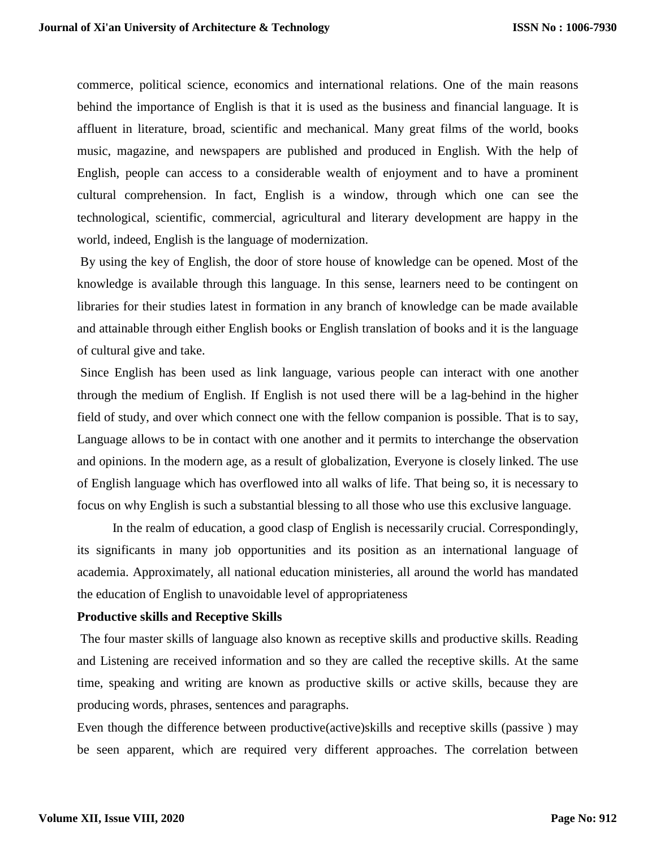commerce, political science, economics and international relations. One of the main reasons behind the importance of English is that it is used as the business and financial language. It is affluent in literature, broad, scientific and mechanical. Many great films of the world, books music, magazine, and newspapers are published and produced in English. With the help of English, people can access to a considerable wealth of enjoyment and to have a prominent cultural comprehension. In fact, English is a window, through which one can see the technological, scientific, commercial, agricultural and literary development are happy in the world, indeed, English is the language of modernization.

By using the key of English, the door of store house of knowledge can be opened. Most of the knowledge is available through this language. In this sense, learners need to be contingent on libraries for their studies latest in formation in any branch of knowledge can be made available and attainable through either English books or English translation of books and it is the language of cultural give and take.

Since English has been used as link language, various people can interact with one another through the medium of English. If English is not used there will be a lag-behind in the higher field of study, and over which connect one with the fellow companion is possible. That is to say, Language allows to be in contact with one another and it permits to interchange the observation and opinions. In the modern age, as a result of globalization, Everyone is closely linked. The use of English language which has overflowed into all walks of life. That being so, it is necessary to focus on why English is such a substantial blessing to all those who use this exclusive language.

 In the realm of education, a good clasp of English is necessarily crucial. Correspondingly, its significants in many job opportunities and its position as an international language of academia. Approximately, all national education ministeries, all around the world has mandated the education of English to unavoidable level of appropriateness

#### **Productive skills and Receptive Skills**

The four master skills of language also known as receptive skills and productive skills. Reading and Listening are received information and so they are called the receptive skills. At the same time, speaking and writing are known as productive skills or active skills, because they are producing words, phrases, sentences and paragraphs.

Even though the difference between productive(active)skills and receptive skills (passive ) may be seen apparent, which are required very different approaches. The correlation between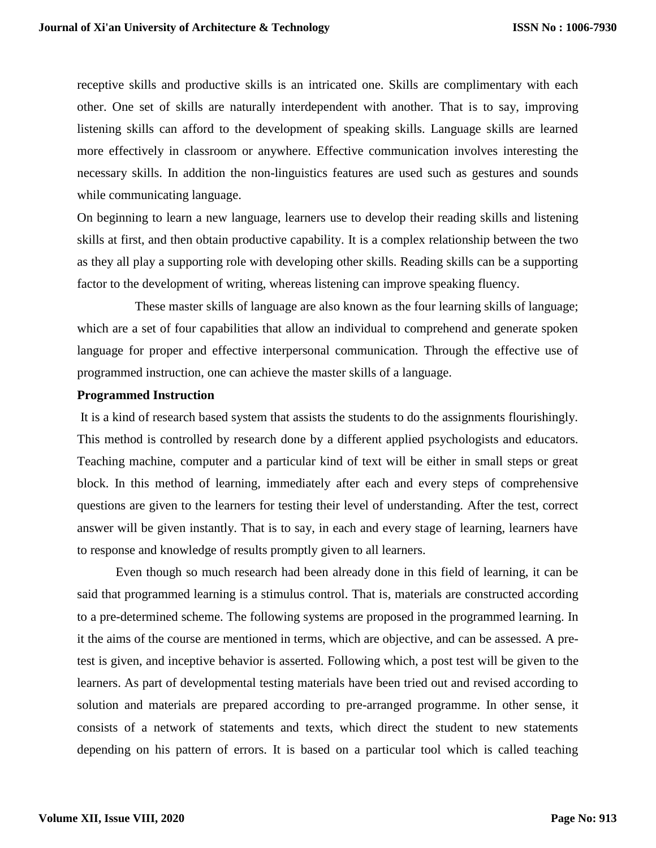receptive skills and productive skills is an intricated one. Skills are complimentary with each other. One set of skills are naturally interdependent with another. That is to say, improving listening skills can afford to the development of speaking skills. Language skills are learned more effectively in classroom or anywhere. Effective communication involves interesting the necessary skills. In addition the non-linguistics features are used such as gestures and sounds while communicating language.

On beginning to learn a new language, learners use to develop their reading skills and listening skills at first, and then obtain productive capability. It is a complex relationship between the two as they all play a supporting role with developing other skills. Reading skills can be a supporting factor to the development of writing, whereas listening can improve speaking fluency.

 These master skills of language are also known as the four learning skills of language; which are a set of four capabilities that allow an individual to comprehend and generate spoken language for proper and effective interpersonal communication. Through the effective use of programmed instruction, one can achieve the master skills of a language.

## **Programmed Instruction**

It is a kind of research based system that assists the students to do the assignments flourishingly. This method is controlled by research done by a different applied psychologists and educators. Teaching machine, computer and a particular kind of text will be either in small steps or great block. In this method of learning, immediately after each and every steps of comprehensive questions are given to the learners for testing their level of understanding. After the test, correct answer will be given instantly. That is to say, in each and every stage of learning, learners have to response and knowledge of results promptly given to all learners.

 Even though so much research had been already done in this field of learning, it can be said that programmed learning is a stimulus control. That is, materials are constructed according to a pre-determined scheme. The following systems are proposed in the programmed learning. In it the aims of the course are mentioned in terms, which are objective, and can be assessed. A pretest is given, and inceptive behavior is asserted. Following which, a post test will be given to the learners. As part of developmental testing materials have been tried out and revised according to solution and materials are prepared according to pre-arranged programme. In other sense, it consists of a network of statements and texts, which direct the student to new statements depending on his pattern of errors. It is based on a particular tool which is called teaching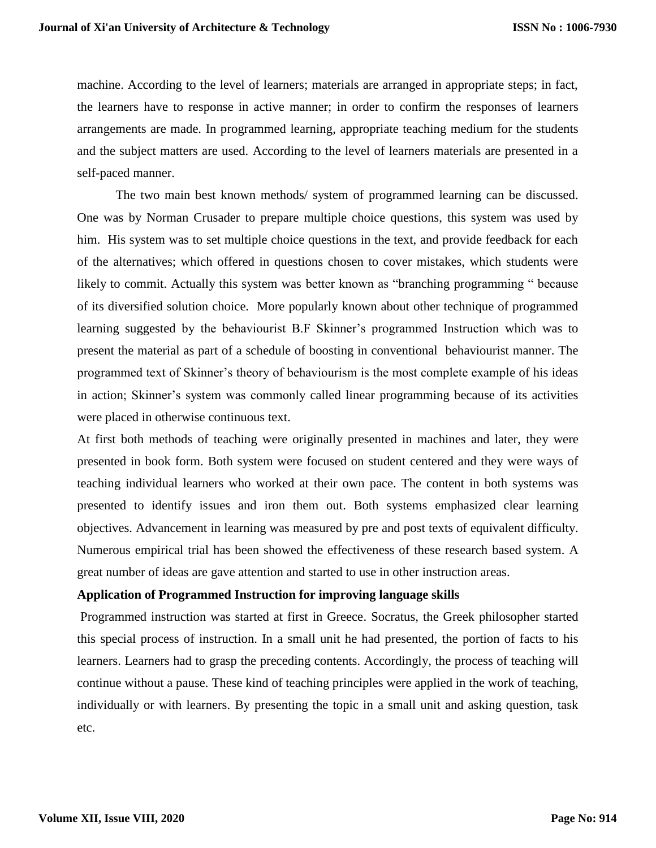machine. According to the level of learners; materials are arranged in appropriate steps; in fact, the learners have to response in active manner; in order to confirm the responses of learners arrangements are made. In programmed learning, appropriate teaching medium for the students and the subject matters are used. According to the level of learners materials are presented in a self-paced manner.

The two main best known methods/ system of programmed learning can be discussed. One was by Norman Crusader to prepare multiple choice questions, this system was used by him. His system was to set multiple choice questions in the text, and provide feedback for each of the alternatives; which offered in questions chosen to cover mistakes, which students were likely to commit. Actually this system was better known as "branching programming " because of its diversified solution choice. More popularly known about other technique of programmed learning suggested by the behaviourist B.F Skinner's programmed Instruction which was to present the material as part of a schedule of boosting in conventional behaviourist manner. The programmed text of Skinner's theory of behaviourism is the most complete example of his ideas in action; Skinner's system was commonly called linear programming because of its activities were placed in otherwise continuous text.

At first both methods of teaching were originally presented in machines and later, they were presented in book form. Both system were focused on student centered and they were ways of teaching individual learners who worked at their own pace. The content in both systems was presented to identify issues and iron them out. Both systems emphasized clear learning objectives. Advancement in learning was measured by pre and post texts of equivalent difficulty. Numerous empirical trial has been showed the effectiveness of these research based system. A great number of ideas are gave attention and started to use in other instruction areas.

# **Application of Programmed Instruction for improving language skills**

Programmed instruction was started at first in Greece. Socratus, the Greek philosopher started this special process of instruction. In a small unit he had presented, the portion of facts to his learners. Learners had to grasp the preceding contents. Accordingly, the process of teaching will continue without a pause. These kind of teaching principles were applied in the work of teaching, individually or with learners. By presenting the topic in a small unit and asking question, task etc.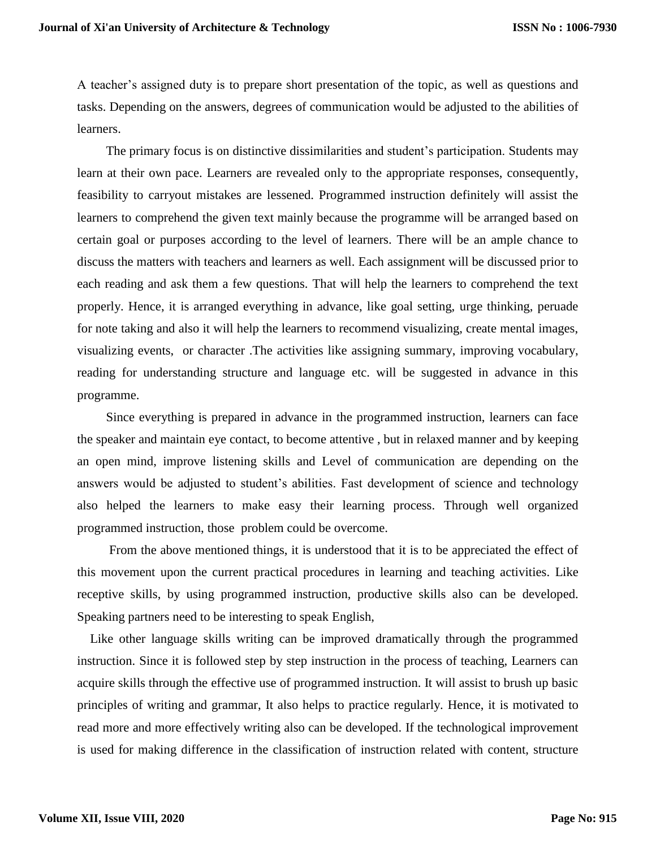A teacher's assigned duty is to prepare short presentation of the topic, as well as questions and tasks. Depending on the answers, degrees of communication would be adjusted to the abilities of learners.

 The primary focus is on distinctive dissimilarities and student's participation. Students may learn at their own pace. Learners are revealed only to the appropriate responses, consequently, feasibility to carryout mistakes are lessened. Programmed instruction definitely will assist the learners to comprehend the given text mainly because the programme will be arranged based on certain goal or purposes according to the level of learners. There will be an ample chance to discuss the matters with teachers and learners as well. Each assignment will be discussed prior to each reading and ask them a few questions. That will help the learners to comprehend the text properly. Hence, it is arranged everything in advance, like goal setting, urge thinking, peruade for note taking and also it will help the learners to recommend visualizing, create mental images, visualizing events, or character .The activities like assigning summary, improving vocabulary, reading for understanding structure and language etc. will be suggested in advance in this programme.

 Since everything is prepared in advance in the programmed instruction, learners can face the speaker and maintain eye contact, to become attentive , but in relaxed manner and by keeping an open mind, improve listening skills and Level of communication are depending on the answers would be adjusted to student's abilities. Fast development of science and technology also helped the learners to make easy their learning process. Through well organized programmed instruction, those problem could be overcome.

 From the above mentioned things, it is understood that it is to be appreciated the effect of this movement upon the current practical procedures in learning and teaching activities. Like receptive skills, by using programmed instruction, productive skills also can be developed. Speaking partners need to be interesting to speak English,

 Like other language skills writing can be improved dramatically through the programmed instruction. Since it is followed step by step instruction in the process of teaching, Learners can acquire skills through the effective use of programmed instruction. It will assist to brush up basic principles of writing and grammar, It also helps to practice regularly. Hence, it is motivated to read more and more effectively writing also can be developed. If the technological improvement is used for making difference in the classification of instruction related with content, structure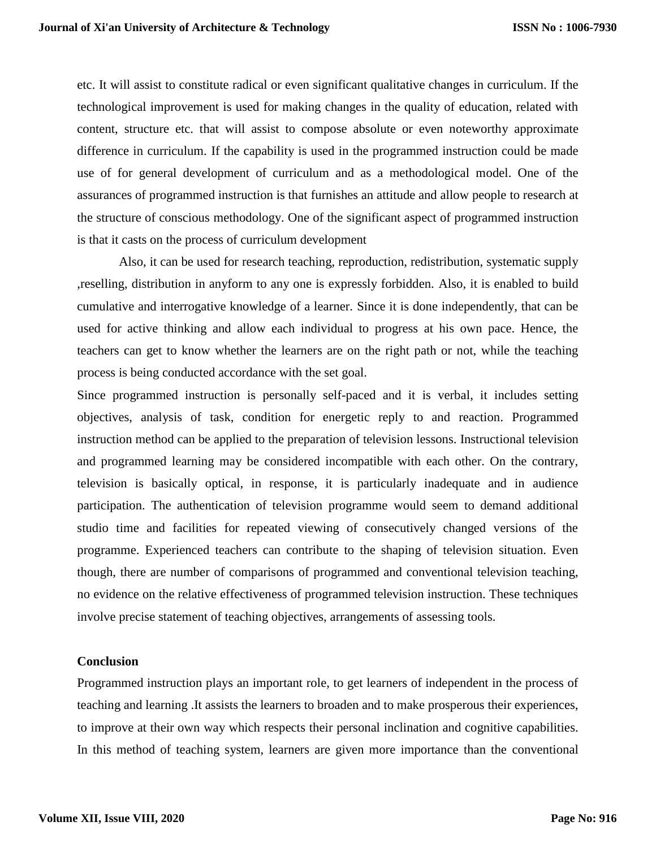etc. It will assist to constitute radical or even significant qualitative changes in curriculum. If the technological improvement is used for making changes in the quality of education, related with content, structure etc. that will assist to compose absolute or even noteworthy approximate difference in curriculum. If the capability is used in the programmed instruction could be made use of for general development of curriculum and as a methodological model. One of the assurances of programmed instruction is that furnishes an attitude and allow people to research at the structure of conscious methodology. One of the significant aspect of programmed instruction is that it casts on the process of curriculum development

 Also, it can be used for research teaching, reproduction, redistribution, systematic supply ,reselling, distribution in anyform to any one is expressly forbidden. Also, it is enabled to build cumulative and interrogative knowledge of a learner. Since it is done independently, that can be used for active thinking and allow each individual to progress at his own pace. Hence, the teachers can get to know whether the learners are on the right path or not, while the teaching process is being conducted accordance with the set goal.

Since programmed instruction is personally self-paced and it is verbal, it includes setting objectives, analysis of task, condition for energetic reply to and reaction. Programmed instruction method can be applied to the preparation of television lessons. Instructional television and programmed learning may be considered incompatible with each other. On the contrary, television is basically optical, in response, it is particularly inadequate and in audience participation. The authentication of television programme would seem to demand additional studio time and facilities for repeated viewing of consecutively changed versions of the programme. Experienced teachers can contribute to the shaping of television situation. Even though, there are number of comparisons of programmed and conventional television teaching, no evidence on the relative effectiveness of programmed television instruction. These techniques involve precise statement of teaching objectives, arrangements of assessing tools.

#### **Conclusion**

Programmed instruction plays an important role, to get learners of independent in the process of teaching and learning .It assists the learners to broaden and to make prosperous their experiences, to improve at their own way which respects their personal inclination and cognitive capabilities. In this method of teaching system, learners are given more importance than the conventional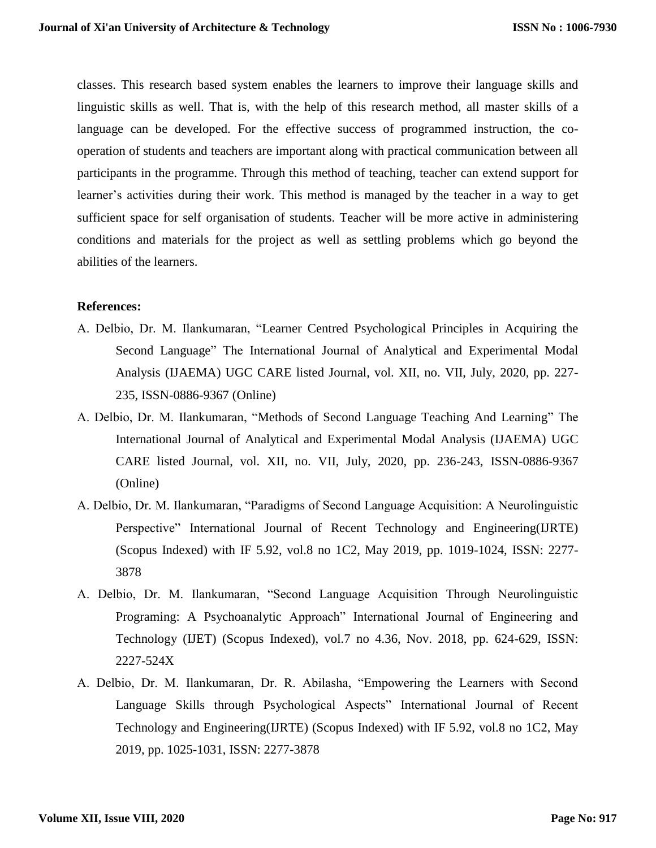classes. This research based system enables the learners to improve their language skills and linguistic skills as well. That is, with the help of this research method, all master skills of a language can be developed. For the effective success of programmed instruction, the cooperation of students and teachers are important along with practical communication between all participants in the programme. Through this method of teaching, teacher can extend support for learner's activities during their work. This method is managed by the teacher in a way to get sufficient space for self organisation of students. Teacher will be more active in administering conditions and materials for the project as well as settling problems which go beyond the abilities of the learners.

### **References:**

- A. Delbio, Dr. M. Ilankumaran, "Learner Centred Psychological Principles in Acquiring the Second Language" The International Journal of Analytical and Experimental Modal Analysis (IJAEMA) UGC CARE listed Journal, vol. XII, no. VII, July, 2020, pp. 227- 235, ISSN-0886-9367 (Online)
- A. Delbio, Dr. M. Ilankumaran, "Methods of Second Language Teaching And Learning" The International Journal of Analytical and Experimental Modal Analysis (IJAEMA) UGC CARE listed Journal, vol. XII, no. VII, July, 2020, pp. 236-243, ISSN-0886-9367 (Online)
- A. Delbio, Dr. M. Ilankumaran, "Paradigms of Second Language Acquisition: A Neurolinguistic Perspective" International Journal of Recent Technology and Engineering(IJRTE) (Scopus Indexed) with IF 5.92, vol.8 no 1C2, May 2019, pp. 1019-1024, ISSN: 2277- 3878
- A. Delbio, Dr. M. Ilankumaran, "Second Language Acquisition Through Neurolinguistic Programing: A Psychoanalytic Approach" International Journal of Engineering and Technology (IJET) (Scopus Indexed), vol.7 no 4.36, Nov. 2018, pp. 624-629, ISSN: 2227-524X
- A. Delbio, Dr. M. Ilankumaran, Dr. R. Abilasha, "Empowering the Learners with Second Language Skills through Psychological Aspects" International Journal of Recent Technology and Engineering(IJRTE) (Scopus Indexed) with IF 5.92, vol.8 no 1C2, May 2019, pp. 1025-1031, ISSN: 2277-3878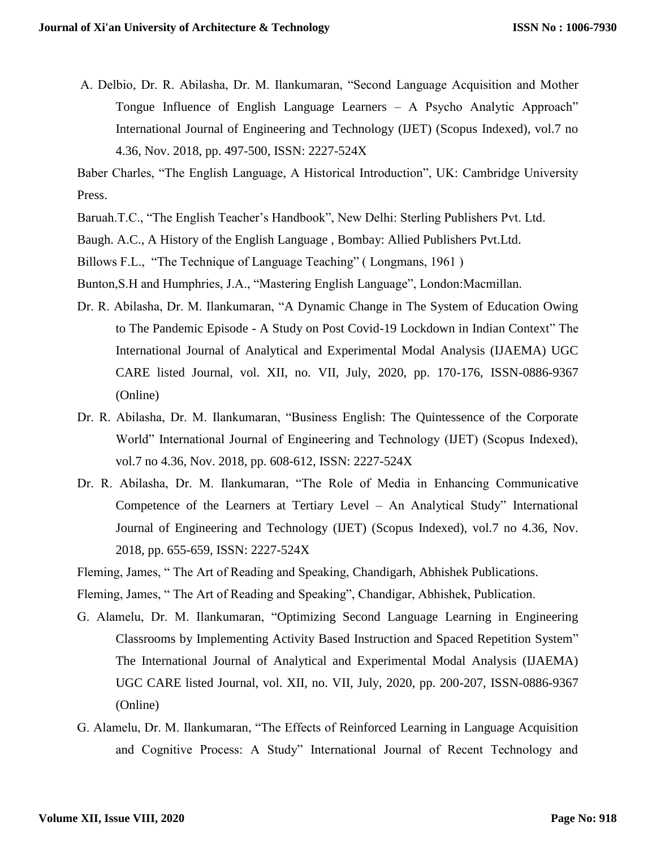A. Delbio, Dr. R. Abilasha, Dr. M. Ilankumaran, "Second Language Acquisition and Mother Tongue Influence of English Language Learners – A Psycho Analytic Approach" International Journal of Engineering and Technology (IJET) (Scopus Indexed), vol.7 no 4.36, Nov. 2018, pp. 497-500, ISSN: 2227-524X

Baber Charles, "The English Language, A Historical Introduction", UK: Cambridge University Press.

Baruah.T.C., "The English Teacher's Handbook", New Delhi: Sterling Publishers Pvt. Ltd.

Baugh. A.C., A History of the English Language , Bombay: Allied Publishers Pvt.Ltd.

Billows F.L., "The Technique of Language Teaching" ( Longmans, 1961 )

Bunton,S.H and Humphries, J.A., "Mastering English Language", London:Macmillan.

- Dr. R. Abilasha, Dr. M. Ilankumaran, "A Dynamic Change in The System of Education Owing to The Pandemic Episode - A Study on Post Covid-19 Lockdown in Indian Context" The International Journal of Analytical and Experimental Modal Analysis (IJAEMA) UGC CARE listed Journal, vol. XII, no. VII, July, 2020, pp. 170-176, ISSN-0886-9367 (Online)
- Dr. R. Abilasha, Dr. M. Ilankumaran, "Business English: The Quintessence of the Corporate World" International Journal of Engineering and Technology (IJET) (Scopus Indexed), vol.7 no 4.36, Nov. 2018, pp. 608-612, ISSN: 2227-524X
- Dr. R. Abilasha, Dr. M. Ilankumaran, "The Role of Media in Enhancing Communicative Competence of the Learners at Tertiary Level – An Analytical Study" International Journal of Engineering and Technology (IJET) (Scopus Indexed), vol.7 no 4.36, Nov. 2018, pp. 655-659, ISSN: 2227-524X

Fleming, James, " The Art of Reading and Speaking, Chandigarh, Abhishek Publications.

Fleming, James, " The Art of Reading and Speaking", Chandigar, Abhishek, Publication.

- G. Alamelu, Dr. M. Ilankumaran, "Optimizing Second Language Learning in Engineering Classrooms by Implementing Activity Based Instruction and Spaced Repetition System" The International Journal of Analytical and Experimental Modal Analysis (IJAEMA) UGC CARE listed Journal, vol. XII, no. VII, July, 2020, pp. 200-207, ISSN-0886-9367 (Online)
- G. Alamelu, Dr. M. Ilankumaran, "The Effects of Reinforced Learning in Language Acquisition and Cognitive Process: A Study" International Journal of Recent Technology and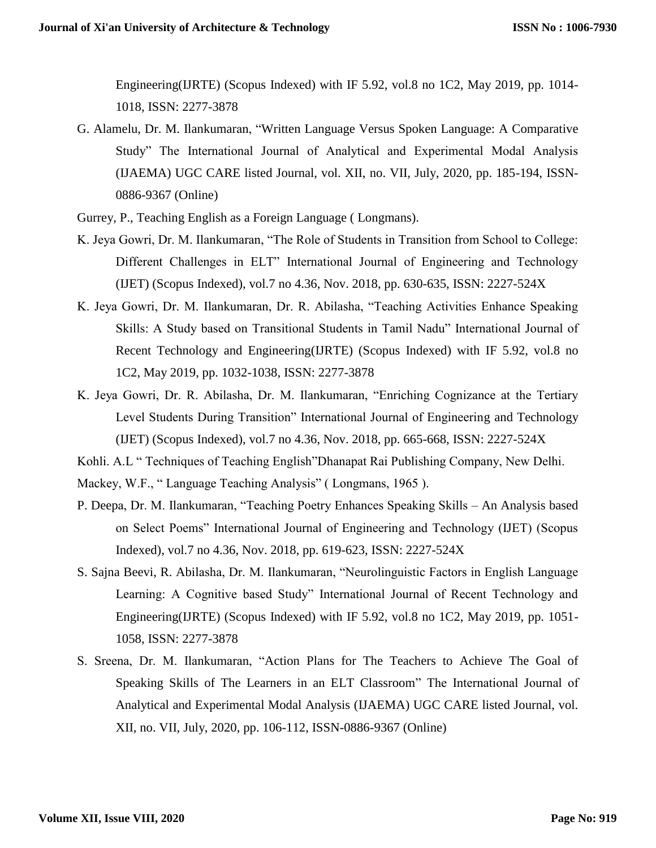Engineering(IJRTE) (Scopus Indexed) with IF 5.92, vol.8 no 1C2, May 2019, pp. 1014- 1018, ISSN: 2277-3878

- G. Alamelu, Dr. M. Ilankumaran, "Written Language Versus Spoken Language: A Comparative Study" The International Journal of Analytical and Experimental Modal Analysis (IJAEMA) UGC CARE listed Journal, vol. XII, no. VII, July, 2020, pp. 185-194, ISSN-0886-9367 (Online)
- Gurrey, P., Teaching English as a Foreign Language ( Longmans).
- K. Jeya Gowri, Dr. M. Ilankumaran, "The Role of Students in Transition from School to College: Different Challenges in ELT" International Journal of Engineering and Technology (IJET) (Scopus Indexed), vol.7 no 4.36, Nov. 2018, pp. 630-635, ISSN: 2227-524X
- K. Jeya Gowri, Dr. M. Ilankumaran, Dr. R. Abilasha, "Teaching Activities Enhance Speaking Skills: A Study based on Transitional Students in Tamil Nadu" International Journal of Recent Technology and Engineering(IJRTE) (Scopus Indexed) with IF 5.92, vol.8 no 1C2, May 2019, pp. 1032-1038, ISSN: 2277-3878
- K. Jeya Gowri, Dr. R. Abilasha, Dr. M. Ilankumaran, "Enriching Cognizance at the Tertiary Level Students During Transition" International Journal of Engineering and Technology (IJET) (Scopus Indexed), vol.7 no 4.36, Nov. 2018, pp. 665-668, ISSN: 2227-524X
- Kohli. A.L " Techniques of Teaching English"Dhanapat Rai Publishing Company, New Delhi.

Mackey, W.F., " Language Teaching Analysis" ( Longmans, 1965 ).

- P. Deepa, Dr. M. Ilankumaran, "Teaching Poetry Enhances Speaking Skills An Analysis based on Select Poems" International Journal of Engineering and Technology (IJET) (Scopus Indexed), vol.7 no 4.36, Nov. 2018, pp. 619-623, ISSN: 2227-524X
- S. Sajna Beevi, R. Abilasha, Dr. M. Ilankumaran, "Neurolinguistic Factors in English Language Learning: A Cognitive based Study" International Journal of Recent Technology and Engineering(IJRTE) (Scopus Indexed) with IF 5.92, vol.8 no 1C2, May 2019, pp. 1051- 1058, ISSN: 2277-3878
- S. Sreena, Dr. M. Ilankumaran, "Action Plans for The Teachers to Achieve The Goal of Speaking Skills of The Learners in an ELT Classroom" The International Journal of Analytical and Experimental Modal Analysis (IJAEMA) UGC CARE listed Journal, vol. XII, no. VII, July, 2020, pp. 106-112, ISSN-0886-9367 (Online)